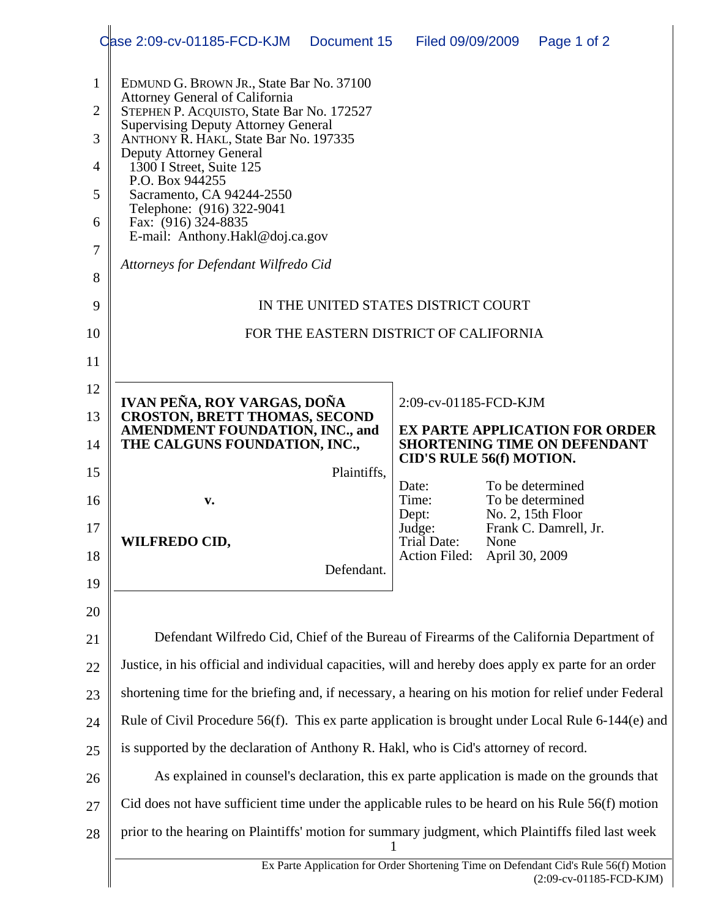|                | Case 2:09-cv-01185-FCD-KJM<br>Document 15<br>Filed 09/09/2009<br>Page 1 of 2                                                                                                                                                                                          |  |  |
|----------------|-----------------------------------------------------------------------------------------------------------------------------------------------------------------------------------------------------------------------------------------------------------------------|--|--|
| 1              | EDMUND G. BROWN JR., State Bar No. 37100<br>Attorney General of California<br>STEPHEN P. ACQUISTO, State Bar No. 172527<br><b>Supervising Deputy Attorney General</b><br>ANTHONY R. HAKL, State Bar No. 197335<br>Deputy Attorney General<br>1300 I Street, Suite 125 |  |  |
| $\overline{2}$ |                                                                                                                                                                                                                                                                       |  |  |
| 3              |                                                                                                                                                                                                                                                                       |  |  |
| 4              |                                                                                                                                                                                                                                                                       |  |  |
| 5              | P.O. Box 944255<br>Sacramento, CA 94244-2550                                                                                                                                                                                                                          |  |  |
| 6              | Telephone: (916) 322-9041<br>Fax: (916) 324-8835<br>E-mail: Anthony.Hakl@doj.ca.gov                                                                                                                                                                                   |  |  |
| 7              |                                                                                                                                                                                                                                                                       |  |  |
| 8              | Attorneys for Defendant Wilfredo Cid                                                                                                                                                                                                                                  |  |  |
| 9              | IN THE UNITED STATES DISTRICT COURT                                                                                                                                                                                                                                   |  |  |
| 10             | FOR THE EASTERN DISTRICT OF CALIFORNIA                                                                                                                                                                                                                                |  |  |
| 11             |                                                                                                                                                                                                                                                                       |  |  |
| 12             | IVAN PEÑA, ROY VARGAS, DOÑA<br>2:09-cv-01185-FCD-KJM                                                                                                                                                                                                                  |  |  |
| 13             | <b>CROSTON, BRETT THOMAS, SECOND</b><br><b>AMENDMENT FOUNDATION, INC., and</b><br><b>EX PARTE APPLICATION FOR ORDER</b>                                                                                                                                               |  |  |
| 14             | THE CALGUNS FOUNDATION, INC.,<br><b>SHORTENING TIME ON DEFENDANT</b><br><b>CID'S RULE 56(f) MOTION.</b>                                                                                                                                                               |  |  |
| 15             | Plaintiffs,<br>To be determined<br>Date:                                                                                                                                                                                                                              |  |  |
| 16             | Time:<br>To be determined<br>v.<br>No. 2, 15th Floor<br>Dept:                                                                                                                                                                                                         |  |  |
| 17             | Frank C. Damrell, Jr.<br>Judge:<br><b>WILFREDO CID,</b><br><b>Trial Date:</b><br>None                                                                                                                                                                                 |  |  |
| 18             | April 30, 2009<br><b>Action Filed:</b><br>Defendant.                                                                                                                                                                                                                  |  |  |
| 19             |                                                                                                                                                                                                                                                                       |  |  |
| 20             |                                                                                                                                                                                                                                                                       |  |  |
| 21             | Defendant Wilfredo Cid, Chief of the Bureau of Firearms of the California Department of                                                                                                                                                                               |  |  |
| 22             | Justice, in his official and individual capacities, will and hereby does apply ex parte for an order                                                                                                                                                                  |  |  |
| 23             | shortening time for the briefing and, if necessary, a hearing on his motion for relief under Federal                                                                                                                                                                  |  |  |
| 24             | Rule of Civil Procedure 56(f). This ex parte application is brought under Local Rule 6-144(e) and                                                                                                                                                                     |  |  |
| 25             | is supported by the declaration of Anthony R. Hakl, who is Cid's attorney of record.                                                                                                                                                                                  |  |  |
| 26             | As explained in counsel's declaration, this ex parte application is made on the grounds that                                                                                                                                                                          |  |  |
| 27             | Cid does not have sufficient time under the applicable rules to be heard on his Rule 56(f) motion                                                                                                                                                                     |  |  |
| 28             | prior to the hearing on Plaintiffs' motion for summary judgment, which Plaintiffs filed last week                                                                                                                                                                     |  |  |
|                | Ex Parte Application for Order Shortening Time on Defendant Cid's Rule 56(f) Motion<br>(2:09-cv-01185-FCD-KJM)                                                                                                                                                        |  |  |